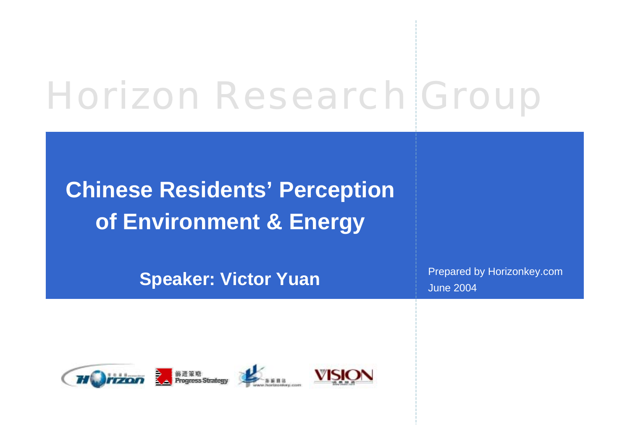# Horizon Research Group

# **Chinese Residents' Perception of Environment & Energy**

**Speaker: Victor Yuan**

Prepared by Horizonkey.com June 2004





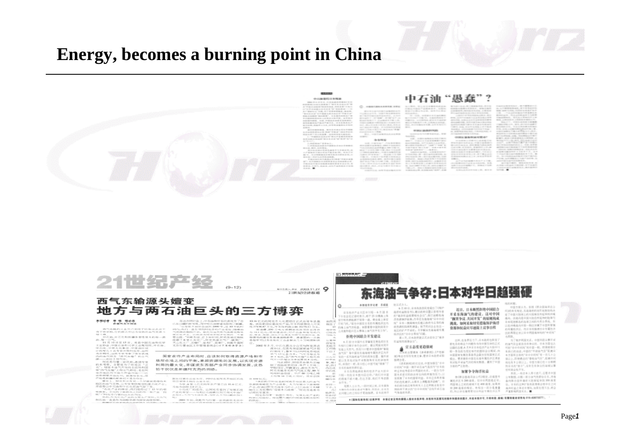# **Energy, becomes a burning point in China**



21世纪产经  $(9 - 12)$ 

**NUDRL-PX 2003.11.27 9** 2109141053840140

### 西气东输源头嬗变 地方与两石油巨头的三方博弈

LIKE BUILDING

国家在作产业布局时,应该如何取得资源产地和市

场所在地之间的平衡,兼顾资源地的发展,以实现资源

利用的最大化,并谋求东西部产业同步协调发展,这恐

 $-199$ 

 $-$  20  $\%$ 

国際工夫家小石化!

怕不仅仅是新疆阿克苏的困惑。

#### 李穆字章 李 傅 理论案

西气中输的工业用户受国于价格还还出不<br>单录和,它的顺头却已为宝贵的由气资源斗

※。<br>京石油、京石化和新疆各省(高尾木的毎一道)

■ 第5期間 古日小村、神像日中に、原

FIES 20 - 21 M-Fr /6-5310-71-20

WINDOWS A LONGISLAND CONTRACTOR に在104第5第7次現、今中央右連修正式の実了新疆。<br>\*\*\*年間本直田奈城町2000年,近10年前約 

30.16 忆光的阿克苏大化是项目正式在市车民盘<br>基、波拉里国语或货户用。平布特赖克国家人可实施<br>现 2013年7月光中米加利用国家人可实施的国家人可实施<br>- 超速度,150 万吨米喷着运送后可产品各种型可的汽车。<br>- 库福·惠德法国语或流量可能是有种型可的汽车。<br>- 库福·惠德发展提通超程表言,是重要的一点就 黄岩化产业。已经成为阿克苏经济发展的一个重<br>要出路,"刘乾齐说,近于年时间,阿克苏地区相胜 **开始与时期文化开信和控制中,所需来的一种** 2002年5月,中石化圆龙分公司与阿克苏达 充苏行署油区工作管理委员会(以下用维油量本)

月前,在这里的一个人的时候,我们的人们的情况,在我们的一个人的时候,我们的身体,我们的身体,我们的人在我生育中,他们的身体在我的身体,在我们的女生的人们的生活,我们的人们的人们的人们的人们的人们的人 制了包括化肥项时,年产1万吨二<br>甲制项目,早期至白,建化天然气<br>阿克苏植作天然气气化工程,60万

業主任兼办公室本年,同时も是阿克赤地区石化<br>局日第9小街市立全主任。<br>カ地カ田原之9位元。<br>19世カ田原で加工。1980年まのアッサエル TO 550 U.S. 90亿元。<br>"我们的目标就是把阿克芬拉区最大的油气 **空運建業開発** 为能力的原型单位元。<br>中国化学的成功,以例是容易有关的一个社会的<br>产业的希望——与其比石油被拉到达射火年益广告<br>表加工、大地气积渣利率。为什么不可以被运加工<br>电厂、大地气积渣利率。为什么不可以被运加工 

2001年初,到此升与行著一官召和社主公中

始回式作人  $\circ$ 本相继水京记者 车頭風 日本科技产业大臣中川昭一6月22日 下午在会见记者时表示,将于25日两座上传 22年10月10日12月17日第一次, 黄金溪上溪空 まけを日本施設に会せ - 第1 本語を異性注文内

ET MAINBOARD -

 $1.888$ 

将发生

45.54

AIR.

10 四年上海气中持杏、金属黄青也能到来有什 理念装<br>巴格島<br>可能方 人体地和船只在云事每上抽气的开发工作" 拒绝中国联合开发建议 6月22日中国外长事编屋左南岛段日本

外相川口眼千辛行会采时,建议所采肉同开<br>发出上天热气,热而川口要求中国疫肿\*事项 Efrie<br>Res 法气田"等中国在东南部城市属控涉区内开<br>发的一系列海底油气回的高体位置, 展示深 度以及其他试验开采数据等有关的详细等<br>利,并到行一起,表示组心中提升能"按单"了 12.59 (4.10) 坏节素<br>普: 超1<br>定: 而且化<br>中石化 日本的海岸市原村县 日本负责能源收集的经济产业大型中 3回2→ 808 日本開内証収表 → 最引対立面

的漫画不感兴趣,在这方面,我们不有信息 取事人士法力,一段时间以来,日本国家 国政府不承认的"日中中间线"是线开采石油 大峰杉市中国东海采气事体、西至此、日本在<br>此同题上的立场如乎更稳振荡、日本政府开 气温油中污泥。

#### 6月16日 日本持護資産金提供了び取り 海洋校益报告书》,建议政府设置以首相为首 的过去式和过去分词 每日 小时间 法行为法庭 电路 **济济通便护政策;华导在东南海域"G中中国** 627 日本一般国家外交通口拆存为工具的房 法选择的指挥的调查: 按手民间企业在这 モワハンナロスに、月光配えた出版社を開 经济区的"日中分界线"问题。

第二天,日本政府發正式決定後立"房井 双路和风险集会议"。

▲ 官方态度更趋張疑<br>Hanggan (samm).(Pith 国)等近世传统完善文章,要求目击政府采取

《读本新闻》的社论说,中国加强在"目中 ○河城7中国一集开采石油气是因为"日本政 数は多地考信日の同国的光系。一部分与中<br>オケ系史目的政治家也向政府集制压力。以 **VERTHEREFO, USSERES 所的危机要求,以图多上课整理并边略"。 目** 本的材料的出现和有关人十亿的地名集在中

近日、日本制然拒绝中国联合 开采东海油气的建议。这对中国 "搁置争议、共同开发"的原则构成 挑战。如何采取切实借施保护海洋 **查源和权益应尽速提上这事日程** 

这样,在各界压力下,目本政府也转变了 日本のお話コナの間ならなの間や冷却正式

に組約古産メリ9日目本松沢产业大阪中川 12 - At \$1.00 TLTC to all the blood by the U.S. of the 中国国家发展改革委员会副主任核国家正式 横山 歴史課状の関友な複参属技法区運送 有试验无采油气回的报关数据。通到了中国 当窗的产品的特。

#### 加紧争夺海洋权益

**市団長店: 世界(内)な花香園会開)会** 案件成样专为的选择,但自信两部是否是。 两面相主之间的清城不足400 南京,也来完<br>而 200 南京的规定,市相当一部分是重叠<br>的,所以存在重用要似分开这个周控济区方 2. 日本的这种扩张也故事将会使中日之间 高导校益之争等少用加,每期处理不当,将会 PERMITTED C.

\* (国际先驱导信)法律声明 本报记者及特约模模人授权本程声略:本报所刊其撰写的媒件物模供的描片,未起本报访可,不调和数,根编 | 看看销载者提取电 010-43073277 | 。

东海油气争夺:日本对华日趋强硬 **RESEARCH** 所服。<br>中国方面认为,拓稽《票合国商序改合 约30分支加权,车边运动的过程加速率(6) 合プの部大陸発上的大陸案目 所経参約中後<br>複両、夜遊内是中国大陸自然尾伸的発挙与 権内に、以内の実行事を2002年を合計する。<br>日本国連部長内中国一般企業属于中国事業権<br>約9年属植産は、西日本現保護日中寺属植業<br>区的事務会長以日中国国産が現的"中国地"

方再报。<br>方了推护和国关系, 中国用品从事开采 的油气和金都在没有争议的。日本方面也认<br>可的"日中中间所"的中国一颗。即便模拟日 大自己的地质,中国的"学家商气员"距离号 车方面听工技的"目中中间内"有一件几 ※日に 前後時の約1巻自治气日\*、新病中国 残ら有き 公開以上、中間方面に任中分期期 四日本的"图子",应有在有条位的海域认真

光河南北松开发 养而,一些日本人养寸进尺,还要求中国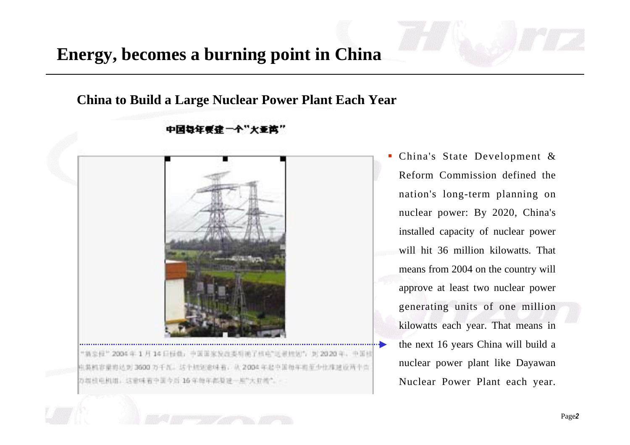# **Energy, becomes a burning point in China**

**China to Build a Large Nuclear Power Plant Each Year**



"独立担"2004年1月14日任他,中国国家发出委员通了核电气送展标划与 到2020年,中国社 电装机容量再达到 3600 万千瓦。这个相见意味着, 从 2004年起中国每年担至少比维建设两个页 万得住屯机组。这里味着中国今后 16年的年都要进一些"大亚常"。

 China's State Development & Reform Commission defined the nation's long-term planning on nuclear power: By 2020, China's installed capacity of nuclear power will hit 36 million kilowatts. That means from 2004 on the country will approve at least two nuclear power generating units of one million kilowatts each year. That means in the next 16 years China will build a nuclear power plant like Dayawan Nuclear Power Plant each year.

### 中国每年要建一个"大亚湾"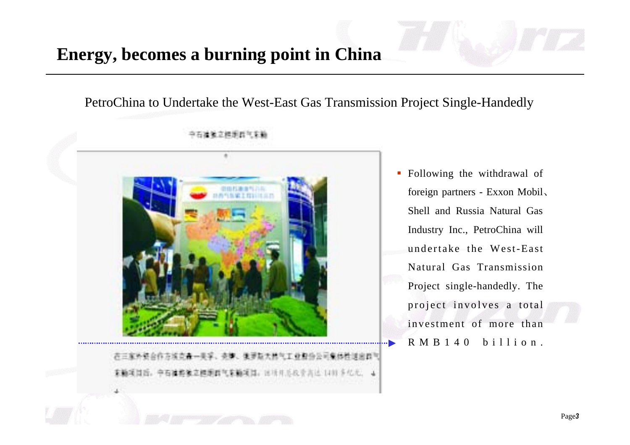# **Energy, becomes a burning point in China**

PetroChina to Undertake the West-East Gas Transmission Project Single-Handedly



**Following the withdrawal of** foreign partners - Exxon Mobil Shell and Russia Natural Gas Industry Inc., PetroChina will undertake the West-East Natural Gas Transmission Project single-handedly. The project involves a total investment of more than  $R M B 1 4 0 b i 11 i o n$ .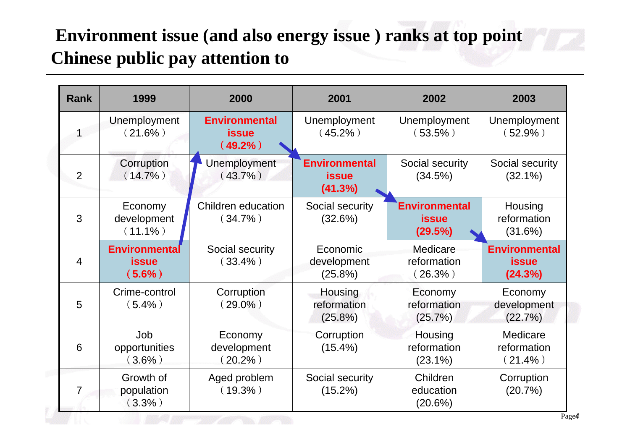# **Environment issue (and also energy issue ) ranks at top point Chinese public pay attention to**

| <b>Rank</b>    | 1999                                              | 2000                                               | 2001                                            | 2002                                            | 2003                                            |
|----------------|---------------------------------------------------|----------------------------------------------------|-------------------------------------------------|-------------------------------------------------|-------------------------------------------------|
|                | Unemployment<br>$(21.6\%)$                        | <b>Environmental</b><br><b>issue</b><br>$(49.2\%)$ | Unemployment<br>$(45.2\%)$                      | Unemployment<br>$(53.5\%)$                      | Unemployment<br>$(52.9\%)$                      |
| 2              | Corruption<br>$(14.7\%)$                          | Unemployment<br>$(43.7\%)$                         | <b>Environmental</b><br><b>issue</b><br>(41.3%) | Social security<br>(34.5%)                      | Social security<br>$(32.1\%)$                   |
| 3              | Economy<br>development<br>$(11.1\%)$              | <b>Children education</b><br>$(34.7\%)$            | Social security<br>(32.6%)                      | <b>Environmental</b><br><b>issue</b><br>(29.5%) | Housing<br>reformation<br>(31.6%)               |
| $\overline{4}$ | <b>Environmental</b><br><b>issue</b><br>$(5.6\%)$ | Social security<br>$(33.4\%)$                      | Economic<br>development<br>$(25.8\%)$           | Medicare<br>reformation<br>$(26.3\%)$           | <b>Environmental</b><br><b>issue</b><br>(24.3%) |
| 5              | Crime-control<br>$(5.4\%)$                        | Corruption<br>$(29.0\%)$                           | Housing<br>reformation<br>$(25.8\%)$            | Economy<br>reformation<br>(25.7%)               | Economy<br>development<br>(22.7%)               |
| 6              | Job<br>opportunities<br>$(3.6\%)$                 | Economy<br>development<br>$(20.2\%)$               | Corruption<br>$(15.4\%)$                        | Housing<br>reformation<br>$(23.1\%)$            | Medicare<br>reformation<br>$(21.4\%)$           |
| 7              | Growth of<br>population<br>$(3.3\%)$              | Aged problem<br>$(19.3\%)$                         | Social security<br>$(15.2\%)$                   | Children<br>education<br>(20.6%)                | Corruption<br>(20.7%)                           |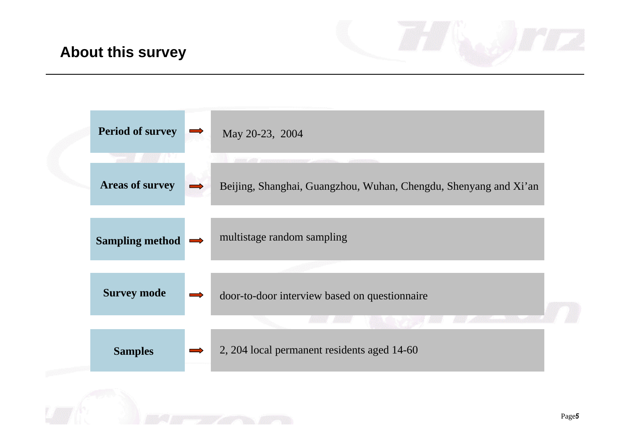## **About this survey**

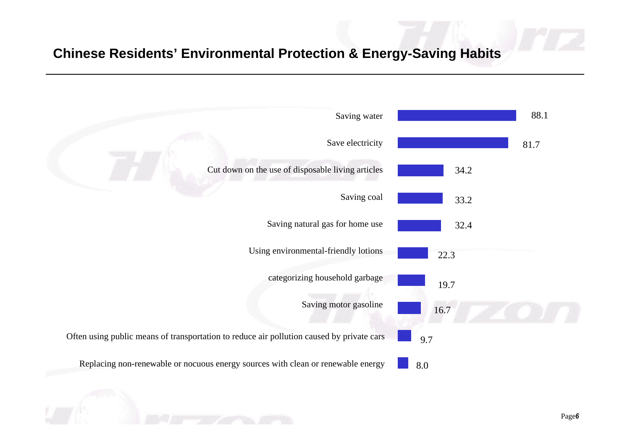### **Chinese Residents' Environmental Protection & Energy-Saving Habits**

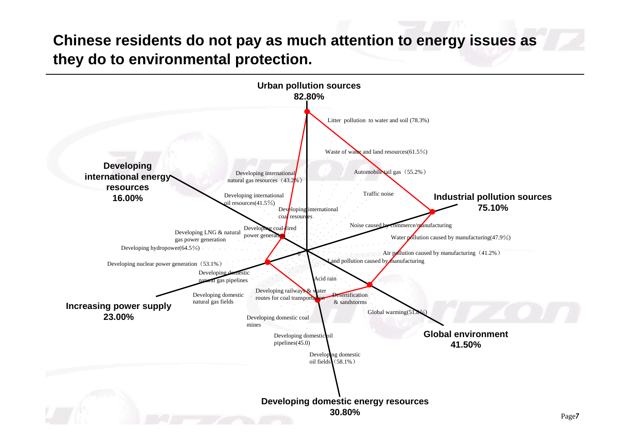# **Chinese residents do not pay as much attention to energy issues as they do to environmental protection.**

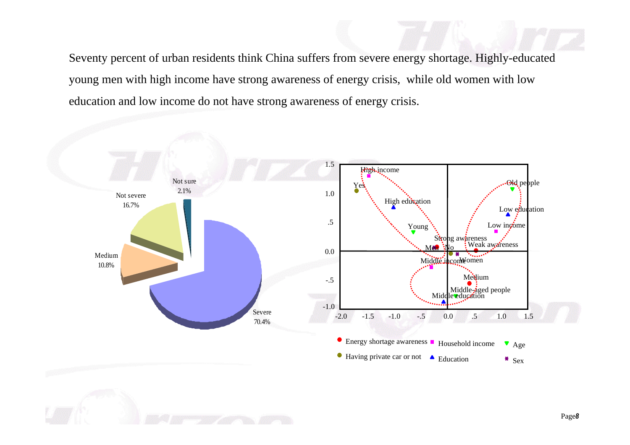Seventy percent of urban residents think China suffers from severe energy shortage. Highly-educated<br>voung men with high income have strong awareness of energy crisis while old women with low ome do not have strong awareness of energy cris young men with high income have strong awareness of energy crisis, while old women with low education and low income do not have strong awareness of energy crisis.

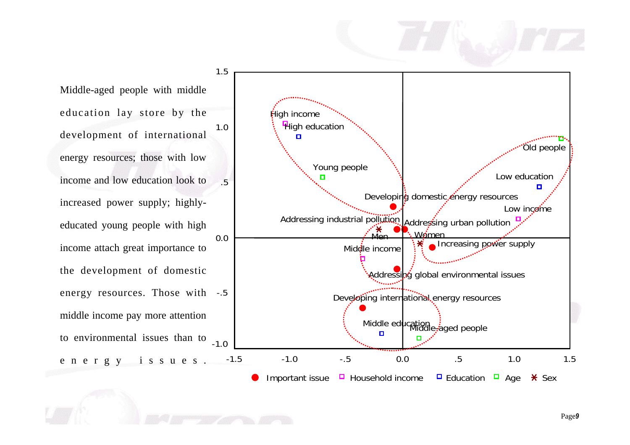### 1.5Middle-aged people with middle education lay store by the **High income High education** 1.0development of international  $\Box$ Old people energy resources; those with low Young people Low education income and low education look to .5Developing domestic energy resources increased power supply; highly-Low inceme Addressing industrial pollution Addressing urban pollution educated young people with high Women  $M_{\odot}$ 0.0Increasing power supply income attach great importance to Middle income the development of domestic Addressing global environmental issues energy resources. Those with -.5 Developing international energy resources middle income pay more attention Middle ed**u**cation<br>Lett<sup>r</sup>iddle-aged people  $\Box$ to environmental issues than to <sub>-1.0</sub> energy issues. -1.5 -1.0 -.5 0.0 .5 1.0 1.5 Important issue  $\Box$  Household income  $\Box$  Education  $\Box$  Age  $\angle$  Sex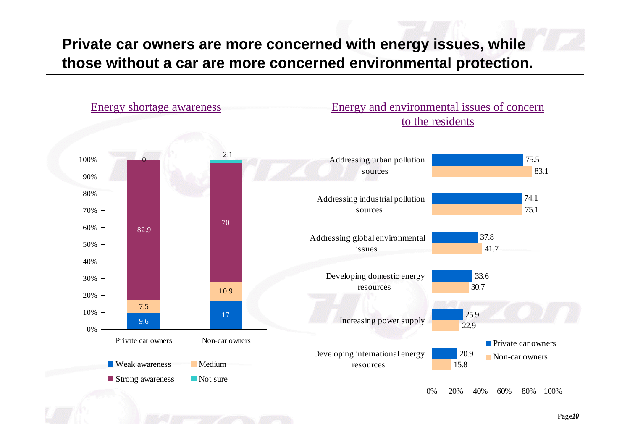# **Private car owners are more concerned with energy issues, while those without a car are more concerned environmental protection.**

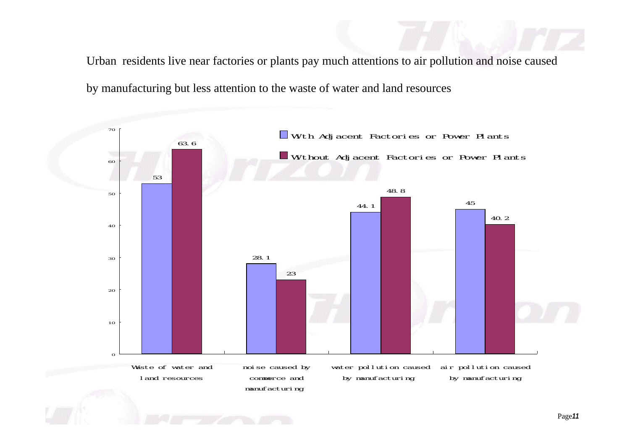Urban residents live near factories or plants pay much attentions to air pollution and noise caused by manufacturing but less attention to the waste of water and land resources

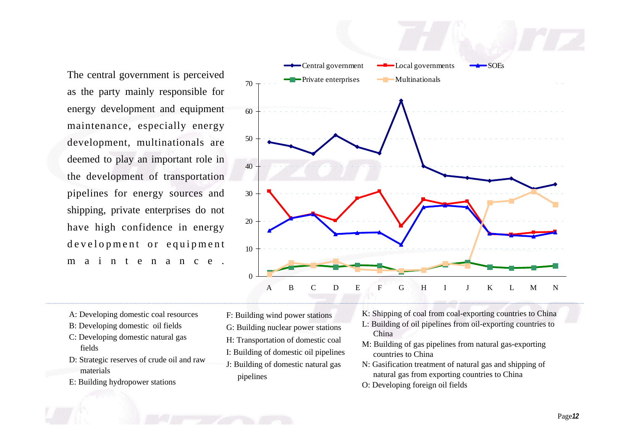as the party mainly responsible for energy development and equipment maintenance, especially energy development, multinationals are deemed to play an important role in the development of transportation pipelines for energy sources and shipping, private enterprises do not have high confidence in energy d e velopment or equipment <sup>m</sup> <sup>a</sup> i <sup>n</sup> t <sup>e</sup> <sup>n</sup> <sup>a</sup> <sup>n</sup> <sup>c</sup> <sup>e</sup> .



- A: Developing domestic coal resources
- B: Developing domestic oil fields
- C: Developing domestic natural gas fields
- D: Strategic reserves of crude oil and raw materials
- E: Building hydropower stations
- F: Building wind power stations G: Building nuclear power stations
- H: Transportation of domestic coal
- I: Building of domestic oil pipelines
- J: Building of domestic natural gas pipelines
- K: Shipping of coal from coal-exporting countries to China
- L: Building of oil pipelines from oil-exporting countries to China
- M: Building of gas pipelines from natural gas-exporting countries to China
- N: Gasification treatment of natural gas and shipping of natural gas from exporting countries to China
- O: Developing foreign oil fields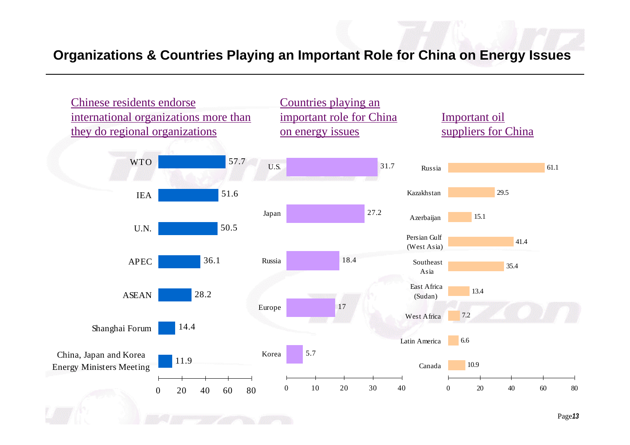### **Organizations & Countries Playing an Important Role for China on Energy Issues**

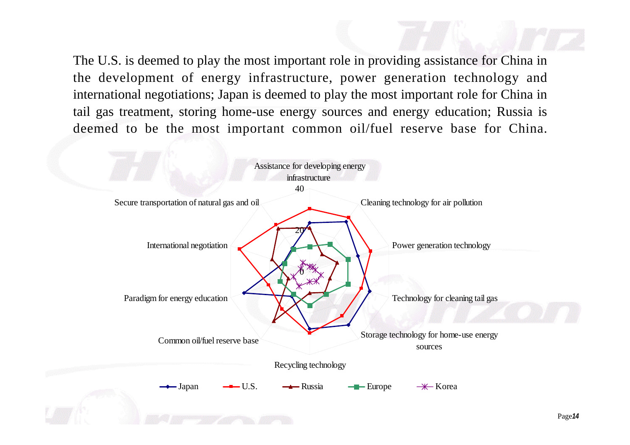The U.S. is deemed to play the most important role in providing assistance for China in the development of energy infrastructure, power generation technology and international negotiations; Japan is deemed to play the most important role for China in tail gas treatment, storing home-use energy sources and energy education; Russia is deemed to be the most important common oil/fuel reserve base for China.

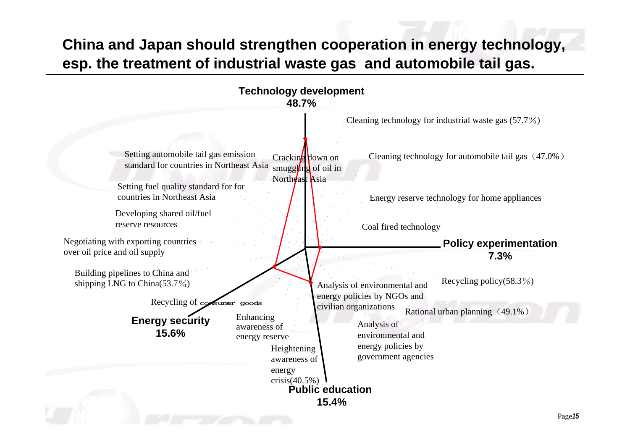# **China and Japan should strengthen cooperation in energy technology, esp. the treatment of industrial waste gas and automobile tail gas.**

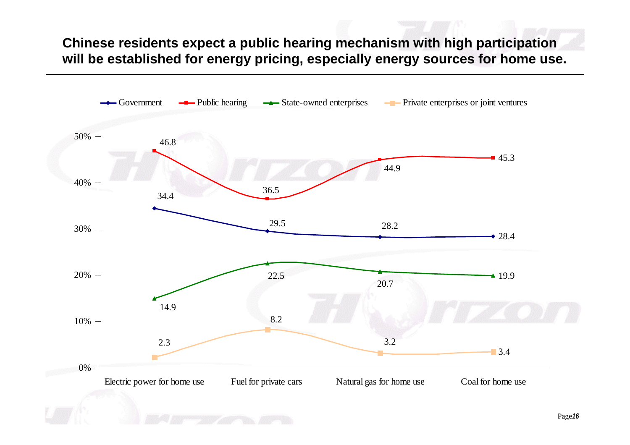**Chinese residents expect a public hearing mechanism with high participation will be established for energy pricing, especially energy sources for home use.**

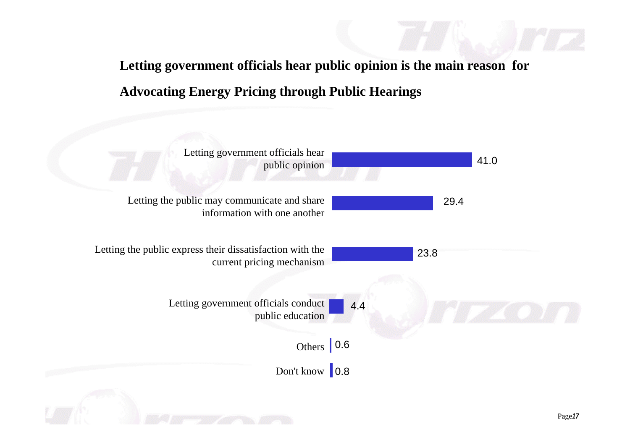**Letting government officials hear public opinion is the main reason for Advocating Energy Pricing through Public Hearings**

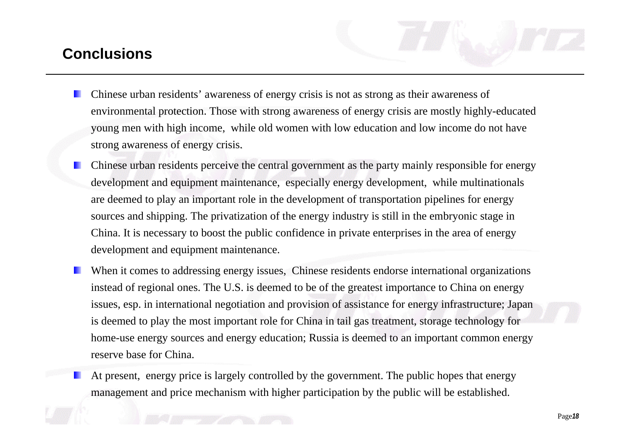# **Conclusions**

- Chinese urban residents' awareness of energy crisis is not as strong as their awareness of environmental protection. Those with strong awareness of energy crisis are mostly highly-educated young men with high income, while old women with low education and low income do not have strong awareness of energy crisis.
- Chinese urban residents perceive the central government as the party mainly responsible for energy development and equipment maintenance, especially energy development, while multinationals are deemed to play an important role in the development of transportation pipelines for energy sources and shipping. The privatization of the energy industry is still in the embryonic stage in China. It is necessary to boost the public confidence in private enterprises in the area of energy development and equipment maintenance.
- When it comes to addressing energy issues, Chinese residents endorse international organizations instead of regional ones. The U.S. is deemed to be of the greatest importance to China on energy issues, esp. in international negotiation and provision of assistance for energy infrastructure; Japan is deemed to play the most important role for China in tail gas treatment, storage technology for home-use energy sources and energy education; Russia is deemed to an important common energy reserve base for China.
	- At present, energy price is largely controlled by the government. The public hopes that energy management and price mechanism with higher participation by the public will be established.